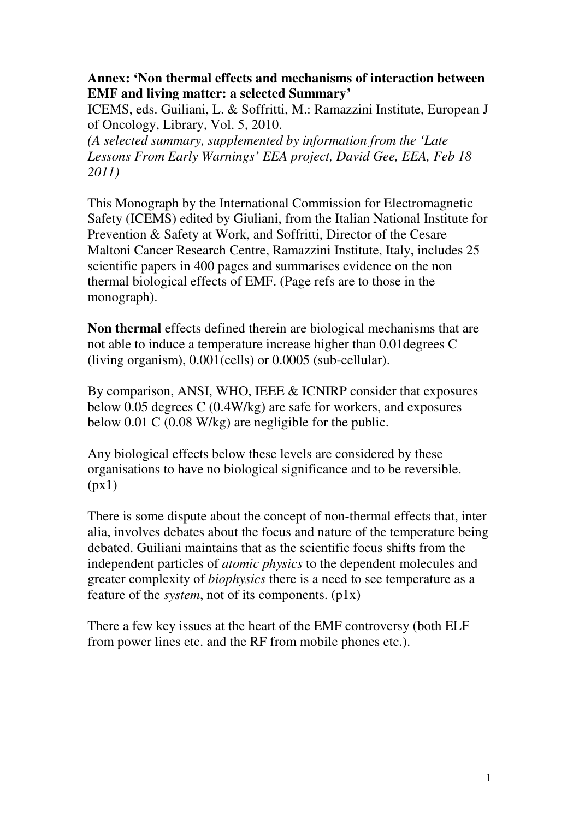**Annex: 'Non thermal effects and mechanisms of interaction between EMF and living matter: a selected Summary'** 

ICEMS, eds. Guiliani, L. & Soffritti, M.: Ramazzini Institute, European J of Oncology, Library, Vol. 5, 2010.

*(A selected summary, supplemented by information from the 'Late Lessons From Early Warnings' EEA project, David Gee, EEA, Feb 18 2011)* 

This Monograph by the International Commission for Electromagnetic Safety (ICEMS) edited by Giuliani, from the Italian National Institute for Prevention & Safety at Work, and Soffritti, Director of the Cesare Maltoni Cancer Research Centre, Ramazzini Institute, Italy, includes 25 scientific papers in 400 pages and summarises evidence on the non thermal biological effects of EMF. (Page refs are to those in the monograph).

**Non thermal** effects defined therein are biological mechanisms that are not able to induce a temperature increase higher than 0.01degrees C (living organism), 0.001(cells) or 0.0005 (sub-cellular).

By comparison, ANSI, WHO, IEEE & ICNIRP consider that exposures below 0.05 degrees C (0.4W/kg) are safe for workers, and exposures below 0.01 C (0.08 W/kg) are negligible for the public.

Any biological effects below these levels are considered by these organisations to have no biological significance and to be reversible.  $(px1)$ 

There is some dispute about the concept of non-thermal effects that, inter alia, involves debates about the focus and nature of the temperature being debated. Guiliani maintains that as the scientific focus shifts from the independent particles of *atomic physics* to the dependent molecules and greater complexity of *biophysics* there is a need to see temperature as a feature of the *system*, not of its components. (p1x)

There a few key issues at the heart of the EMF controversy (both ELF from power lines etc. and the RF from mobile phones etc.).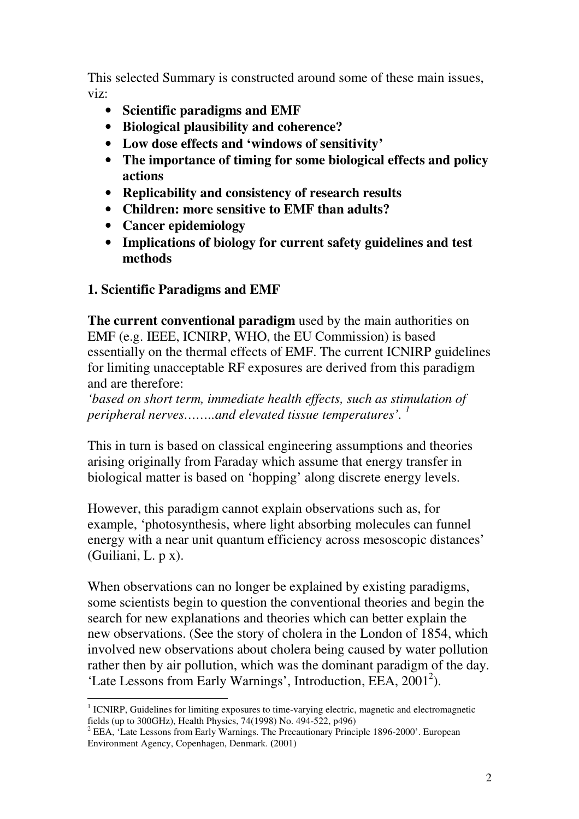This selected Summary is constructed around some of these main issues, viz:

- **Scientific paradigms and EMF**
- **Biological plausibility and coherence?**
- **Low dose effects and 'windows of sensitivity'**
- **The importance of timing for some biological effects and policy actions**
- **Replicability and consistency of research results**
- **Children: more sensitive to EMF than adults?**
- **Cancer epidemiology**
- **Implications of biology for current safety guidelines and test methods**

## **1. Scientific Paradigms and EMF**

**The current conventional paradigm** used by the main authorities on EMF (e.g. IEEE, ICNIRP, WHO, the EU Commission) is based essentially on the thermal effects of EMF. The current ICNIRP guidelines for limiting unacceptable RF exposures are derived from this paradigm and are therefore:

*'based on short term, immediate health effects, such as stimulation of peripheral nerves……..and elevated tissue temperatures'. <sup>1</sup>*

This in turn is based on classical engineering assumptions and theories arising originally from Faraday which assume that energy transfer in biological matter is based on 'hopping' along discrete energy levels.

However, this paradigm cannot explain observations such as, for example, 'photosynthesis, where light absorbing molecules can funnel energy with a near unit quantum efficiency across mesoscopic distances' (Guiliani, L. p x).

When observations can no longer be explained by existing paradigms, some scientists begin to question the conventional theories and begin the search for new explanations and theories which can better explain the new observations. (See the story of cholera in the London of 1854, which involved new observations about cholera being caused by water pollution rather then by air pollution, which was the dominant paradigm of the day. 'Late Lessons from Early Warnings', Introduction, EEA, 2001<sup>2</sup>).

 $\overline{a}$ <sup>1</sup> ICNIRP, Guidelines for limiting exposures to time-varying electric, magnetic and electromagnetic fields (up to 300GHz), Health Physics, 74(1998) No. 494-522, p496)

 $2$  EEA, 'Late Lessons from Early Warnings. The Precautionary Principle 1896-2000'. European Environment Agency, Copenhagen, Denmark. **(**2001)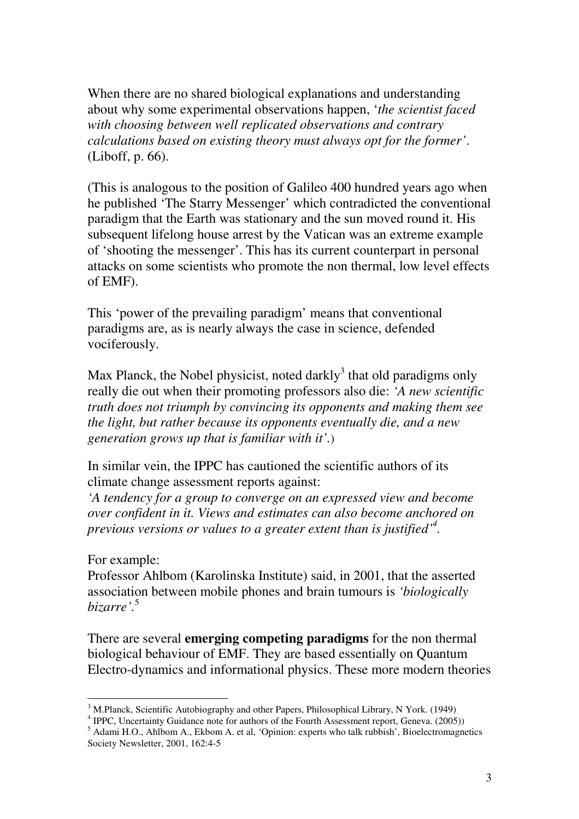When there are no shared biological explanations and understanding about why some experimental observations happen, '*the scientist faced with choosing between well replicated observations and contrary calculations based on existing theory must always opt for the former'*. (Liboff, p. 66).

(This is analogous to the position of Galileo 400 hundred years ago when he published 'The Starry Messenger' which contradicted the conventional paradigm that the Earth was stationary and the sun moved round it. His subsequent lifelong house arrest by the Vatican was an extreme example of 'shooting the messenger'. This has its current counterpart in personal attacks on some scientists who promote the non thermal, low level effects of EMF).

This 'power of the prevailing paradigm' means that conventional paradigms are, as is nearly always the case in science, defended vociferously.

Max Planck, the Nobel physicist, noted darkly<sup>3</sup> that old paradigms only really die out when their promoting professors also die: *'A new scientific truth does not triumph by convincing its opponents and making them see the light, but rather because its opponents eventually die, and a new generation grows up that is familiar with it'.*)

In similar vein, the IPPC has cautioned the scientific authors of its climate change assessment reports against:

*'A tendency for a group to converge on an expressed view and become over confident in it. Views and estimates can also become anchored on previous versions or values to a greater extent than is justified'<sup>4</sup> .* 

For example:

 $\overline{a}$ 

Professor Ahlbom (Karolinska Institute) said, in 2001, that the asserted association between mobile phones and brain tumours is *'biologically bizarre'.*<sup>5</sup>

There are several **emerging competing paradigms** for the non thermal biological behaviour of EMF. They are based essentially on Quantum Electro-dynamics and informational physics. These more modern theories

<sup>&</sup>lt;sup>3</sup> M.Planck, Scientific Autobiography and other Papers, Philosophical Library, N York. (1949)

<sup>&</sup>lt;sup>4</sup> IPPC, Uncertainty Guidance note for authors of the Fourth Assessment report, Geneva. (2005))

<sup>&</sup>lt;sup>5</sup> Adami H.O., Ahlbom A., Ekbom A. et al, 'Opinion: experts who talk rubbish', Bioelectromagnetics Society Newsletter, 2001, 162:4-5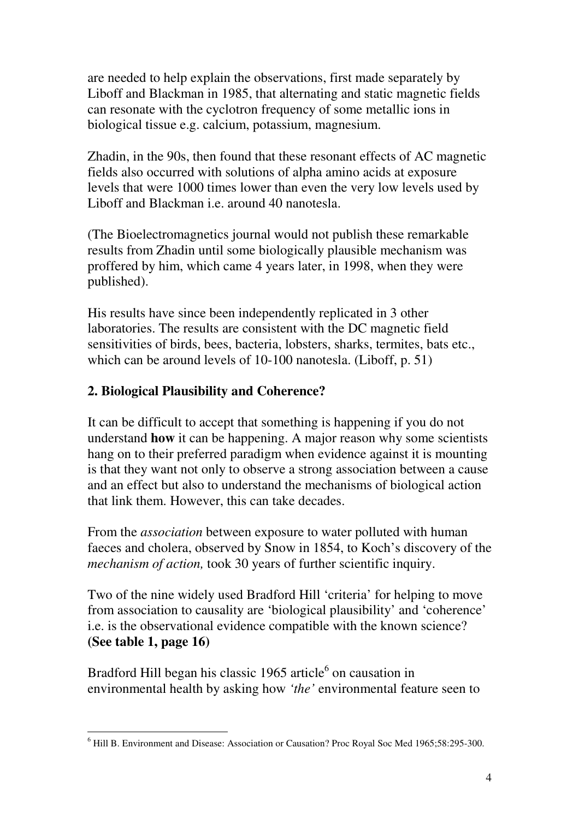are needed to help explain the observations, first made separately by Liboff and Blackman in 1985, that alternating and static magnetic fields can resonate with the cyclotron frequency of some metallic ions in biological tissue e.g. calcium, potassium, magnesium.

Zhadin, in the 90s, then found that these resonant effects of AC magnetic fields also occurred with solutions of alpha amino acids at exposure levels that were 1000 times lower than even the very low levels used by Liboff and Blackman i.e. around 40 nanotesla.

(The Bioelectromagnetics journal would not publish these remarkable results from Zhadin until some biologically plausible mechanism was proffered by him, which came 4 years later, in 1998, when they were published).

His results have since been independently replicated in 3 other laboratories. The results are consistent with the DC magnetic field sensitivities of birds, bees, bacteria, lobsters, sharks, termites, bats etc., which can be around levels of 10-100 nanotesla. (Liboff, p. 51)

## **2. Biological Plausibility and Coherence?**

It can be difficult to accept that something is happening if you do not understand **how** it can be happening. A major reason why some scientists hang on to their preferred paradigm when evidence against it is mounting is that they want not only to observe a strong association between a cause and an effect but also to understand the mechanisms of biological action that link them. However, this can take decades.

From the *association* between exposure to water polluted with human faeces and cholera, observed by Snow in 1854, to Koch's discovery of the *mechanism of action,* took 30 years of further scientific inquiry.

Two of the nine widely used Bradford Hill 'criteria' for helping to move from association to causality are 'biological plausibility' and 'coherence' i.e. is the observational evidence compatible with the known science? **(See table 1, page 16)** 

Bradford Hill began his classic 1965 article<sup>6</sup> on causation in environmental health by asking how *'the'* environmental feature seen to

 $\overline{a}$ <sup>6</sup> Hill B. Environment and Disease: Association or Causation? Proc Royal Soc Med 1965;58:295-300.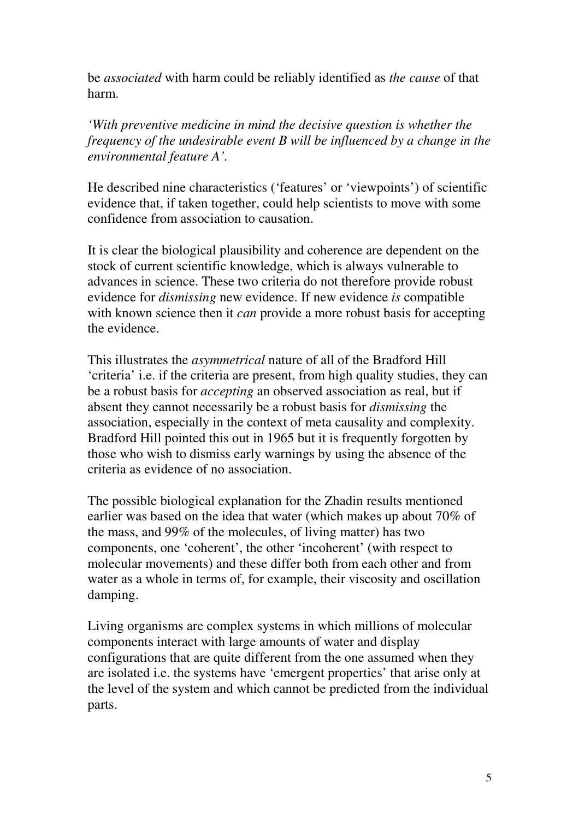be *associated* with harm could be reliably identified as *the cause* of that harm.

*'With preventive medicine in mind the decisive question is whether the frequency of the undesirable event B will be influenced by a change in the environmental feature A'.* 

He described nine characteristics ('features' or 'viewpoints') of scientific evidence that, if taken together, could help scientists to move with some confidence from association to causation.

It is clear the biological plausibility and coherence are dependent on the stock of current scientific knowledge, which is always vulnerable to advances in science. These two criteria do not therefore provide robust evidence for *dismissing* new evidence. If new evidence *is* compatible with known science then it *can* provide a more robust basis for accepting the evidence.

This illustrates the *asymmetrical* nature of all of the Bradford Hill 'criteria' i.e. if the criteria are present, from high quality studies, they can be a robust basis for *accepting* an observed association as real, but if absent they cannot necessarily be a robust basis for *dismissing* the association, especially in the context of meta causality and complexity. Bradford Hill pointed this out in 1965 but it is frequently forgotten by those who wish to dismiss early warnings by using the absence of the criteria as evidence of no association.

The possible biological explanation for the Zhadin results mentioned earlier was based on the idea that water (which makes up about 70% of the mass, and 99% of the molecules, of living matter) has two components, one 'coherent', the other 'incoherent' (with respect to molecular movements) and these differ both from each other and from water as a whole in terms of, for example, their viscosity and oscillation damping.

Living organisms are complex systems in which millions of molecular components interact with large amounts of water and display configurations that are quite different from the one assumed when they are isolated i.e. the systems have 'emergent properties' that arise only at the level of the system and which cannot be predicted from the individual parts.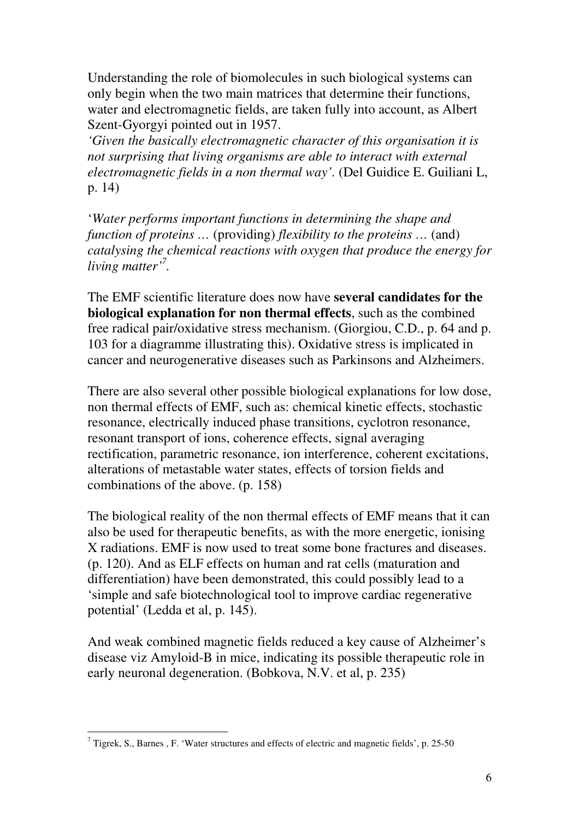Understanding the role of biomolecules in such biological systems can only begin when the two main matrices that determine their functions, water and electromagnetic fields, are taken fully into account, as Albert Szent-Gyorgyi pointed out in 1957.

*'Given the basically electromagnetic character of this organisation it is not surprising that living organisms are able to interact with external electromagnetic fields in a non thermal way'.* (Del Guidice E. Guiliani L, p. 14)

'*Water performs important functions in determining the shape and function of proteins …* (providing) *flexibility to the proteins …* (and) *catalysing the chemical reactions with oxygen that produce the energy for living matter'<sup>7</sup> .*

The EMF scientific literature does now have **several candidates for the biological explanation for non thermal effects**, such as the combined free radical pair/oxidative stress mechanism. (Giorgiou, C.D., p. 64 and p. 103 for a diagramme illustrating this). Oxidative stress is implicated in cancer and neurogenerative diseases such as Parkinsons and Alzheimers.

There are also several other possible biological explanations for low dose, non thermal effects of EMF, such as: chemical kinetic effects, stochastic resonance, electrically induced phase transitions, cyclotron resonance, resonant transport of ions, coherence effects, signal averaging rectification, parametric resonance, ion interference, coherent excitations, alterations of metastable water states, effects of torsion fields and combinations of the above. (p. 158)

The biological reality of the non thermal effects of EMF means that it can also be used for therapeutic benefits, as with the more energetic, ionising X radiations. EMF is now used to treat some bone fractures and diseases. (p. 120). And as ELF effects on human and rat cells (maturation and differentiation) have been demonstrated, this could possibly lead to a 'simple and safe biotechnological tool to improve cardiac regenerative potential' (Ledda et al, p. 145).

And weak combined magnetic fields reduced a key cause of Alzheimer's disease viz Amyloid-B in mice, indicating its possible therapeutic role in early neuronal degeneration. (Bobkova, N.V. et al, p. 235)

 7 Tigrek, S., Barnes , F. 'Water structures and effects of electric and magnetic fields', p. 25-50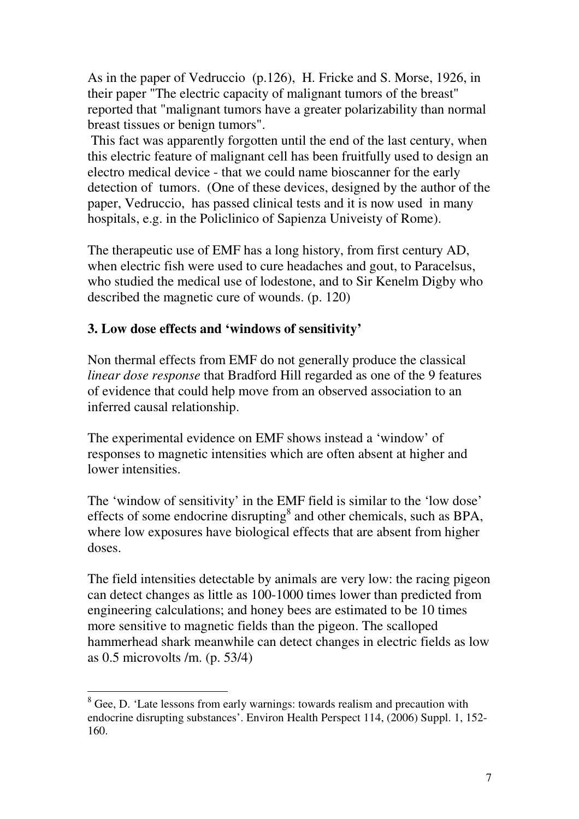As in the paper of Vedruccio (p.126), H. Fricke and S. Morse, 1926, in their paper "The electric capacity of malignant tumors of the breast" reported that "malignant tumors have a greater polarizability than normal breast tissues or benign tumors".

 This fact was apparently forgotten until the end of the last century, when this electric feature of malignant cell has been fruitfully used to design an electro medical device - that we could name bioscanner for the early detection of tumors. (One of these devices, designed by the author of the paper, Vedruccio, has passed clinical tests and it is now used in many hospitals, e.g. in the Policlinico of Sapienza Univeisty of Rome).

The therapeutic use of EMF has a long history, from first century AD, when electric fish were used to cure headaches and gout, to Paracelsus, who studied the medical use of lodestone, and to Sir Kenelm Digby who described the magnetic cure of wounds. (p. 120)

### **3. Low dose effects and 'windows of sensitivity'**

Non thermal effects from EMF do not generally produce the classical *linear dose response* that Bradford Hill regarded as one of the 9 features of evidence that could help move from an observed association to an inferred causal relationship.

The experimental evidence on EMF shows instead a 'window' of responses to magnetic intensities which are often absent at higher and lower intensities.

The 'window of sensitivity' in the EMF field is similar to the 'low dose' effects of some endocrine disrupting<sup>8</sup> and other chemicals, such as BPA, where low exposures have biological effects that are absent from higher doses.

The field intensities detectable by animals are very low: the racing pigeon can detect changes as little as 100-1000 times lower than predicted from engineering calculations; and honey bees are estimated to be 10 times more sensitive to magnetic fields than the pigeon. The scalloped hammerhead shark meanwhile can detect changes in electric fields as low as 0.5 microvolts /m. (p. 53/4)

<sup>&</sup>lt;sup>8</sup> Gee, D. 'Late lessons from early warnings: towards realism and precaution with endocrine disrupting substances'. Environ Health Perspect 114, (2006) Suppl. 1, 152- 160.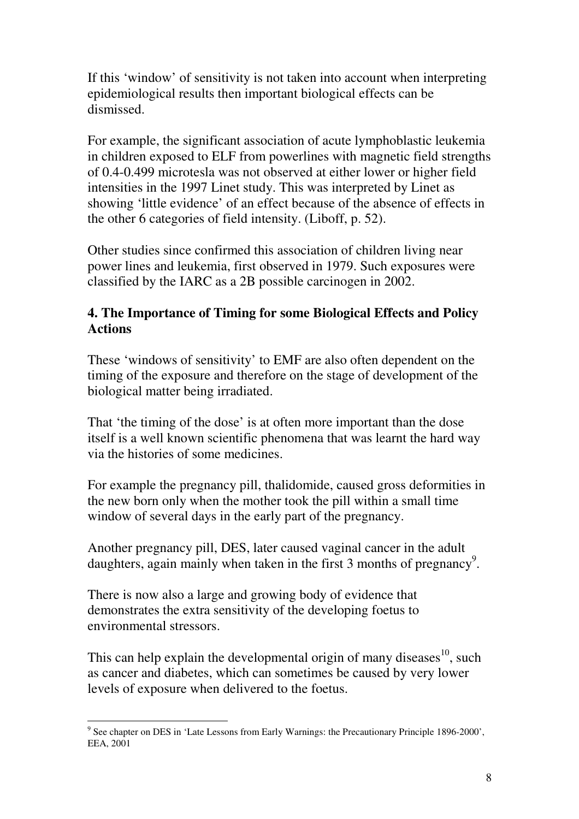If this 'window' of sensitivity is not taken into account when interpreting epidemiological results then important biological effects can be dismissed.

For example, the significant association of acute lymphoblastic leukemia in children exposed to ELF from powerlines with magnetic field strengths of 0.4-0.499 microtesla was not observed at either lower or higher field intensities in the 1997 Linet study. This was interpreted by Linet as showing 'little evidence' of an effect because of the absence of effects in the other 6 categories of field intensity. (Liboff, p. 52).

Other studies since confirmed this association of children living near power lines and leukemia, first observed in 1979. Such exposures were classified by the IARC as a 2B possible carcinogen in 2002.

### **4. The Importance of Timing for some Biological Effects and Policy Actions**

These 'windows of sensitivity' to EMF are also often dependent on the timing of the exposure and therefore on the stage of development of the biological matter being irradiated.

That 'the timing of the dose' is at often more important than the dose itself is a well known scientific phenomena that was learnt the hard way via the histories of some medicines.

For example the pregnancy pill, thalidomide, caused gross deformities in the new born only when the mother took the pill within a small time window of several days in the early part of the pregnancy.

Another pregnancy pill, DES, later caused vaginal cancer in the adult daughters, again mainly when taken in the first 3 months of pregnancy<sup>9</sup>.

There is now also a large and growing body of evidence that demonstrates the extra sensitivity of the developing foetus to environmental stressors.

This can help explain the developmental origin of many diseases<sup>10</sup>, such as cancer and diabetes, which can sometimes be caused by very lower levels of exposure when delivered to the foetus.

 $\overline{a}$ <sup>9</sup> See chapter on DES in 'Late Lessons from Early Warnings: the Precautionary Principle 1896-2000', EEA, 2001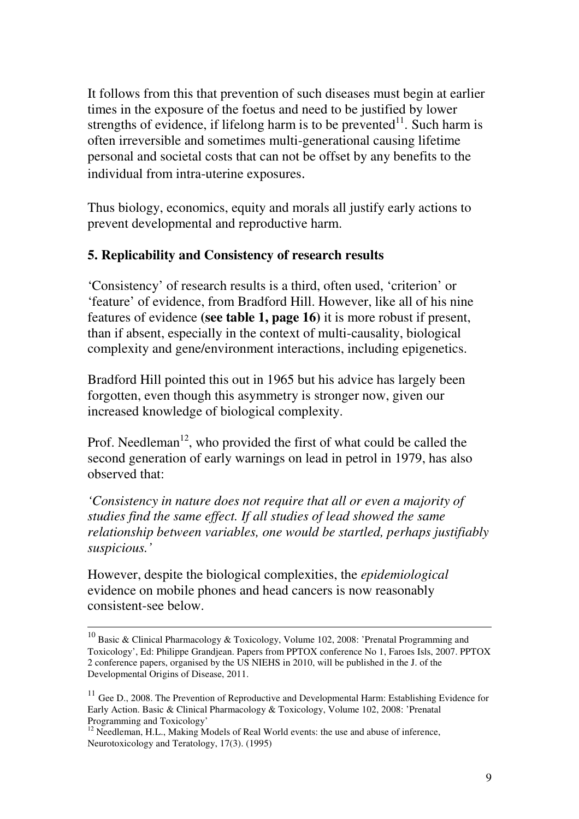It follows from this that prevention of such diseases must begin at earlier times in the exposure of the foetus and need to be justified by lower strengths of evidence, if lifelong harm is to be prevented $11$ . Such harm is often irreversible and sometimes multi-generational causing lifetime personal and societal costs that can not be offset by any benefits to the individual from intra-uterine exposures.

Thus biology, economics, equity and morals all justify early actions to prevent developmental and reproductive harm.

### **5. Replicability and Consistency of research results**

'Consistency' of research results is a third, often used, 'criterion' or 'feature' of evidence, from Bradford Hill. However, like all of his nine features of evidence **(see table 1, page 16)** it is more robust if present, than if absent, especially in the context of multi-causality, biological complexity and gene/environment interactions, including epigenetics.

Bradford Hill pointed this out in 1965 but his advice has largely been forgotten, even though this asymmetry is stronger now, given our increased knowledge of biological complexity.

Prof. Needleman<sup>12</sup>, who provided the first of what could be called the second generation of early warnings on lead in petrol in 1979, has also observed that:

*'Consistency in nature does not require that all or even a majority of studies find the same effect. If all studies of lead showed the same relationship between variables, one would be startled, perhaps justifiably suspicious.'*

However, despite the biological complexities, the *epidemiological* evidence on mobile phones and head cancers is now reasonably consistent-see below.

 $\overline{a}$ 

<sup>&</sup>lt;sup>10</sup> Basic & Clinical Pharmacology & Toxicology, Volume 102, 2008: 'Prenatal Programming and Toxicology', Ed: Philippe Grandjean. Papers from PPTOX conference No 1, Faroes Isls, 2007. PPTOX 2 conference papers, organised by the US NIEHS in 2010, will be published in the J. of the Developmental Origins of Disease, 2011.

<sup>&</sup>lt;sup>11</sup> Gee D., 2008. The Prevention of Reproductive and Developmental Harm: Establishing Evidence for Early Action. Basic & Clinical Pharmacology & Toxicology, Volume 102, 2008: 'Prenatal Programming and Toxicology'

 $12$  Needleman, H.L., Making Models of Real World events: the use and abuse of inference, Neurotoxicology and Teratology, 17(3). (1995)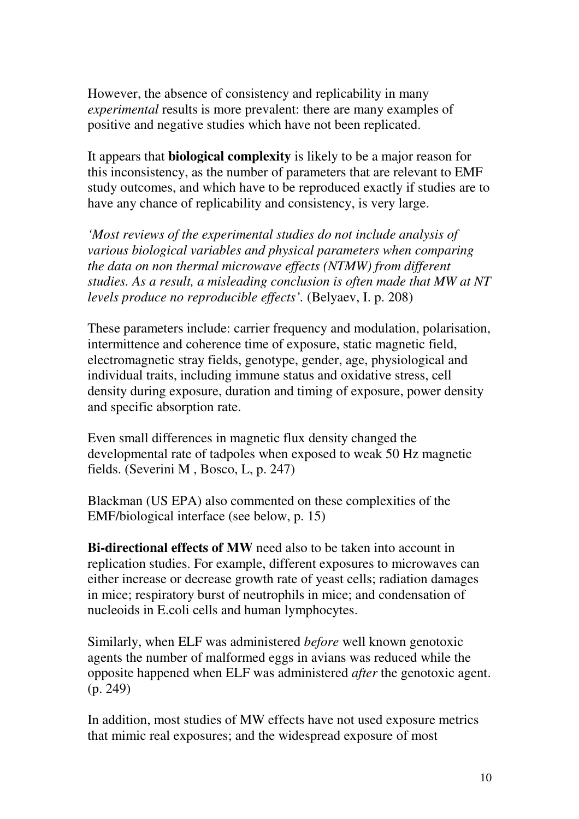However, the absence of consistency and replicability in many *experimental* results is more prevalent: there are many examples of positive and negative studies which have not been replicated.

It appears that **biological complexity** is likely to be a major reason for this inconsistency, as the number of parameters that are relevant to EMF study outcomes, and which have to be reproduced exactly if studies are to have any chance of replicability and consistency, is very large.

*'Most reviews of the experimental studies do not include analysis of various biological variables and physical parameters when comparing the data on non thermal microwave effects (NTMW) from different studies. As a result, a misleading conclusion is often made that MW at NT levels produce no reproducible effects'.* (Belyaev, I. p. 208)

These parameters include: carrier frequency and modulation, polarisation, intermittence and coherence time of exposure, static magnetic field, electromagnetic stray fields, genotype, gender, age, physiological and individual traits, including immune status and oxidative stress, cell density during exposure, duration and timing of exposure, power density and specific absorption rate.

Even small differences in magnetic flux density changed the developmental rate of tadpoles when exposed to weak 50 Hz magnetic fields. (Severini M , Bosco, L, p. 247)

Blackman (US EPA) also commented on these complexities of the EMF/biological interface (see below, p. 15)

**Bi-directional effects of MW** need also to be taken into account in replication studies. For example, different exposures to microwaves can either increase or decrease growth rate of yeast cells; radiation damages in mice; respiratory burst of neutrophils in mice; and condensation of nucleoids in E.coli cells and human lymphocytes.

Similarly, when ELF was administered *before* well known genotoxic agents the number of malformed eggs in avians was reduced while the opposite happened when ELF was administered *after* the genotoxic agent. (p. 249)

In addition, most studies of MW effects have not used exposure metrics that mimic real exposures; and the widespread exposure of most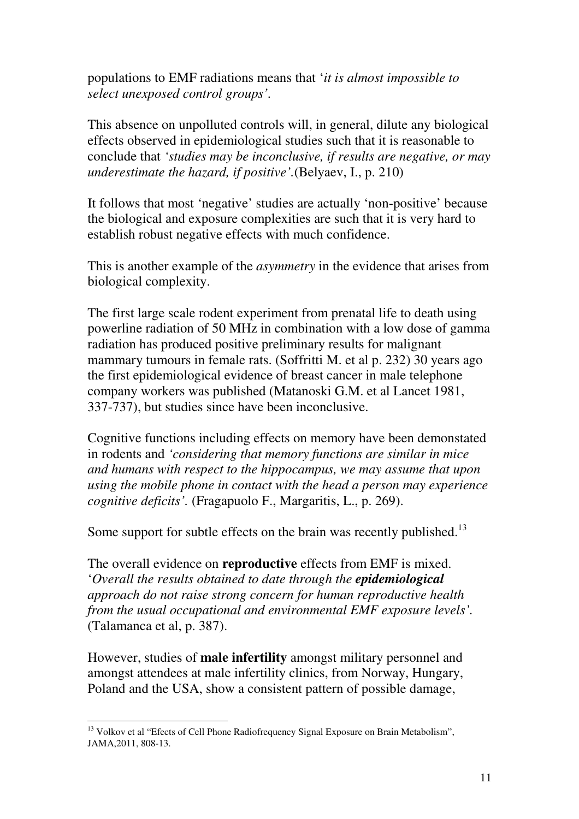populations to EMF radiations means that '*it is almost impossible to select unexposed control groups'.*

This absence on unpolluted controls will, in general, dilute any biological effects observed in epidemiological studies such that it is reasonable to conclude that *'studies may be inconclusive, if results are negative, or may underestimate the hazard, if positive'.*(Belyaev, I., p. 210)

It follows that most 'negative' studies are actually 'non-positive' because the biological and exposure complexities are such that it is very hard to establish robust negative effects with much confidence.

This is another example of the *asymmetry* in the evidence that arises from biological complexity.

The first large scale rodent experiment from prenatal life to death using powerline radiation of 50 MHz in combination with a low dose of gamma radiation has produced positive preliminary results for malignant mammary tumours in female rats. (Soffritti M. et al p. 232) 30 years ago the first epidemiological evidence of breast cancer in male telephone company workers was published (Matanoski G.M. et al Lancet 1981, 337-737), but studies since have been inconclusive.

Cognitive functions including effects on memory have been demonstated in rodents and *'considering that memory functions are similar in mice and humans with respect to the hippocampus, we may assume that upon using the mobile phone in contact with the head a person may experience cognitive deficits'.* (Fragapuolo F., Margaritis, L., p. 269).

Some support for subtle effects on the brain was recently published.<sup>13</sup>

The overall evidence on **reproductive** effects from EMF is mixed. '*Overall the results obtained to date through the epidemiological approach do not raise strong concern for human reproductive health from the usual occupational and environmental EMF exposure levels'.* (Talamanca et al, p. 387).

However, studies of **male infertility** amongst military personnel and amongst attendees at male infertility clinics, from Norway, Hungary, Poland and the USA, show a consistent pattern of possible damage,

 $\overline{a}$ <sup>13</sup> Volkov et al "Efects of Cell Phone Radiofrequency Signal Exposure on Brain Metabolism", JAMA,2011, 808-13.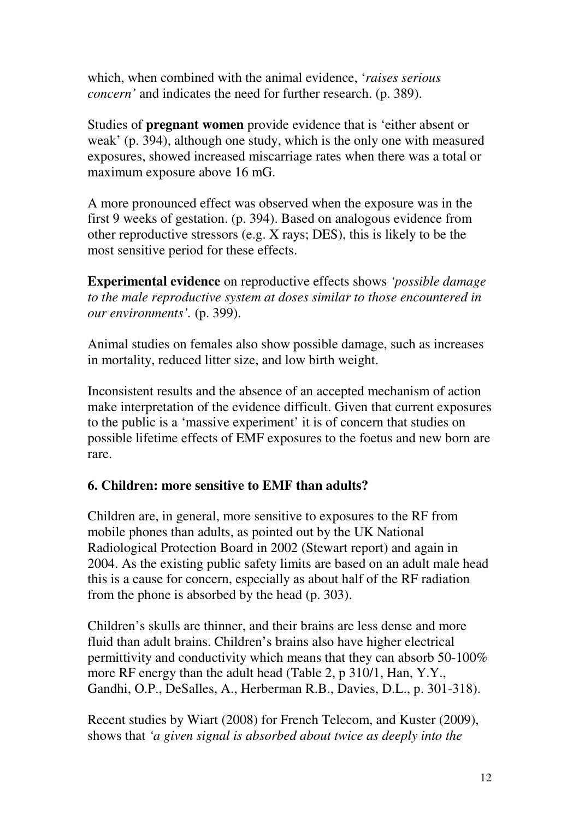which, when combined with the animal evidence, '*raises serious concern'* and indicates the need for further research. (p. 389).

Studies of **pregnant women** provide evidence that is 'either absent or weak' (p. 394), although one study, which is the only one with measured exposures, showed increased miscarriage rates when there was a total or maximum exposure above 16 mG.

A more pronounced effect was observed when the exposure was in the first 9 weeks of gestation. (p. 394). Based on analogous evidence from other reproductive stressors (e.g. X rays; DES), this is likely to be the most sensitive period for these effects.

**Experimental evidence** on reproductive effects shows *'possible damage to the male reproductive system at doses similar to those encountered in our environments'.* (p. 399).

Animal studies on females also show possible damage, such as increases in mortality, reduced litter size, and low birth weight.

Inconsistent results and the absence of an accepted mechanism of action make interpretation of the evidence difficult. Given that current exposures to the public is a 'massive experiment' it is of concern that studies on possible lifetime effects of EMF exposures to the foetus and new born are rare.

### **6. Children: more sensitive to EMF than adults?**

Children are, in general, more sensitive to exposures to the RF from mobile phones than adults, as pointed out by the UK National Radiological Protection Board in 2002 (Stewart report) and again in 2004. As the existing public safety limits are based on an adult male head this is a cause for concern, especially as about half of the RF radiation from the phone is absorbed by the head (p. 303).

Children's skulls are thinner, and their brains are less dense and more fluid than adult brains. Children's brains also have higher electrical permittivity and conductivity which means that they can absorb 50-100% more RF energy than the adult head (Table 2, p 310/1, Han, Y.Y., Gandhi, O.P., DeSalles, A., Herberman R.B., Davies, D.L., p. 301-318).

Recent studies by Wiart (2008) for French Telecom, and Kuster (2009), shows that *'a given signal is absorbed about twice as deeply into the*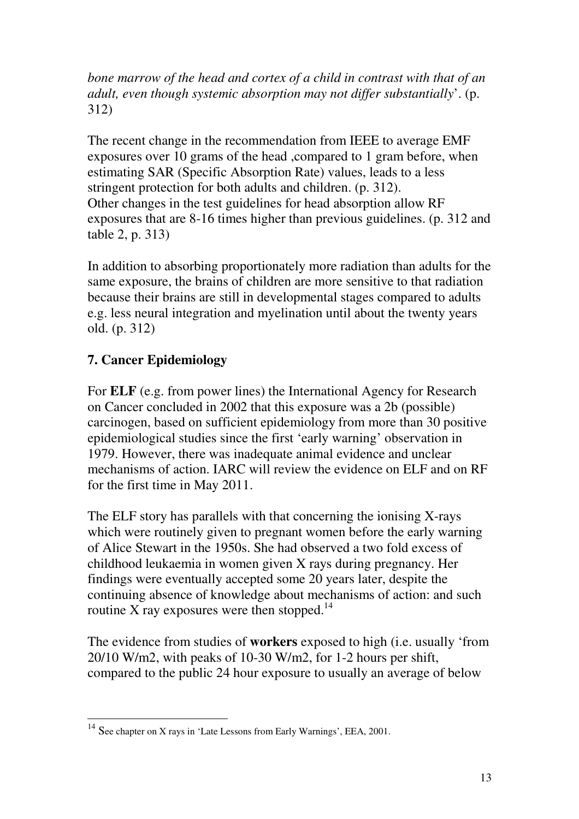*bone marrow of the head and cortex of a child in contrast with that of an adult, even though systemic absorption may not differ substantially*'. (p. 312)

The recent change in the recommendation from IEEE to average EMF exposures over 10 grams of the head ,compared to 1 gram before, when estimating SAR (Specific Absorption Rate) values, leads to a less stringent protection for both adults and children. (p. 312). Other changes in the test guidelines for head absorption allow RF exposures that are 8-16 times higher than previous guidelines. (p. 312 and table 2, p. 313)

In addition to absorbing proportionately more radiation than adults for the same exposure, the brains of children are more sensitive to that radiation because their brains are still in developmental stages compared to adults e.g. less neural integration and myelination until about the twenty years old. (p. 312)

# **7. Cancer Epidemiology**

For **ELF** (e.g. from power lines) the International Agency for Research on Cancer concluded in 2002 that this exposure was a 2b (possible) carcinogen, based on sufficient epidemiology from more than 30 positive epidemiological studies since the first 'early warning' observation in 1979. However, there was inadequate animal evidence and unclear mechanisms of action. IARC will review the evidence on ELF and on RF for the first time in May 2011.

The ELF story has parallels with that concerning the ionising X-rays which were routinely given to pregnant women before the early warning of Alice Stewart in the 1950s. She had observed a two fold excess of childhood leukaemia in women given X rays during pregnancy. Her findings were eventually accepted some 20 years later, despite the continuing absence of knowledge about mechanisms of action: and such routine X ray exposures were then stopped. $14$ 

The evidence from studies of **workers** exposed to high (i.e. usually 'from 20/10 W/m2, with peaks of 10-30 W/m2, for 1-2 hours per shift, compared to the public 24 hour exposure to usually an average of below

 $\overline{a}$  $14$  See chapter on X rays in 'Late Lessons from Early Warnings', EEA, 2001.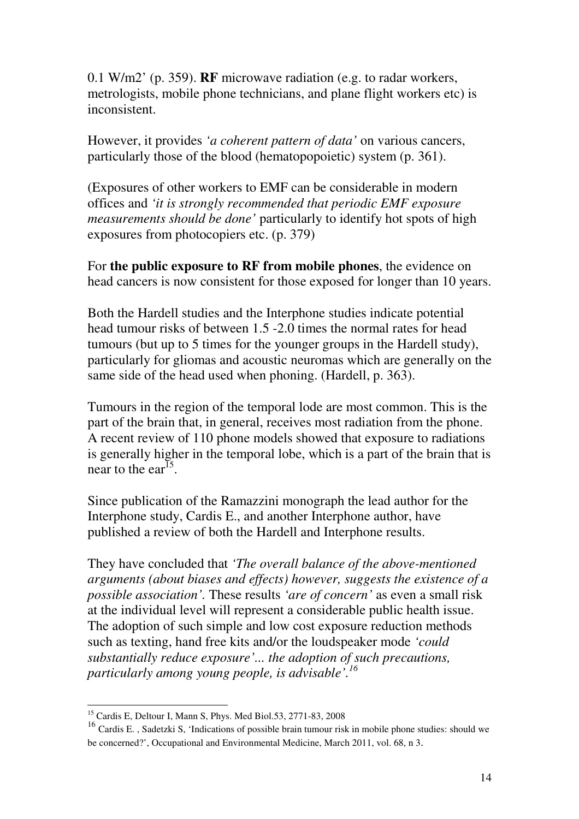0.1 W/m2' (p. 359). **RF** microwave radiation (e.g. to radar workers, metrologists, mobile phone technicians, and plane flight workers etc) is inconsistent.

However, it provides *'a coherent pattern of data'* on various cancers, particularly those of the blood (hematopopoietic) system (p. 361).

(Exposures of other workers to EMF can be considerable in modern offices and *'it is strongly recommended that periodic EMF exposure measurements should be done'* particularly to identify hot spots of high exposures from photocopiers etc. (p. 379)

For **the public exposure to RF from mobile phones**, the evidence on head cancers is now consistent for those exposed for longer than 10 years.

Both the Hardell studies and the Interphone studies indicate potential head tumour risks of between 1.5 -2.0 times the normal rates for head tumours (but up to 5 times for the younger groups in the Hardell study), particularly for gliomas and acoustic neuromas which are generally on the same side of the head used when phoning. (Hardell, p. 363).

Tumours in the region of the temporal lode are most common. This is the part of the brain that, in general, receives most radiation from the phone. A recent review of 110 phone models showed that exposure to radiations is generally higher in the temporal lobe, which is a part of the brain that is near to the ear<sup>15</sup>.

Since publication of the Ramazzini monograph the lead author for the Interphone study, Cardis E., and another Interphone author, have published a review of both the Hardell and Interphone results.

They have concluded that *'The overall balance of the above-mentioned arguments (about biases and effects) however, suggests the existence of a possible association'.* These results *'are of concern'* as even a small risk at the individual level will represent a considerable public health issue. The adoption of such simple and low cost exposure reduction methods such as texting, hand free kits and/or the loudspeaker mode *'could substantially reduce exposure'... the adoption of such precautions, particularly among young people, is advisable'.<sup>16</sup>* 

 $\overline{a}$ 

<sup>15</sup> Cardis E, Deltour I, Mann S, Phys. Med Biol.53, 2771-83, 2008

<sup>&</sup>lt;sup>16</sup> Cardis E., Sadetzki S, 'Indications of possible brain tumour risk in mobile phone studies: should we be concerned?', Occupational and Environmental Medicine, March 2011, vol. 68, n 3.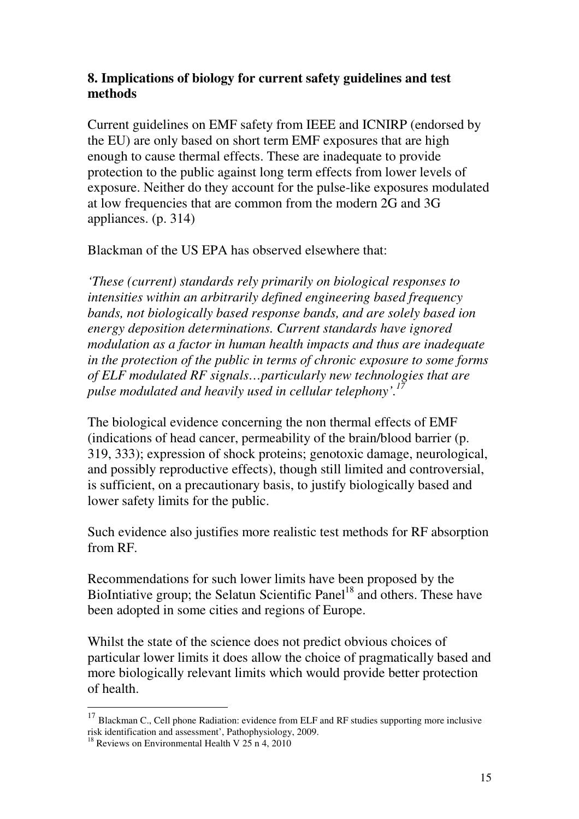### **8. Implications of biology for current safety guidelines and test methods**

Current guidelines on EMF safety from IEEE and ICNIRP (endorsed by the EU) are only based on short term EMF exposures that are high enough to cause thermal effects. These are inadequate to provide protection to the public against long term effects from lower levels of exposure. Neither do they account for the pulse-like exposures modulated at low frequencies that are common from the modern 2G and 3G appliances. (p. 314)

Blackman of the US EPA has observed elsewhere that:

*'These (current) standards rely primarily on biological responses to intensities within an arbitrarily defined engineering based frequency bands, not biologically based response bands, and are solely based ion energy deposition determinations. Current standards have ignored modulation as a factor in human health impacts and thus are inadequate in the protection of the public in terms of chronic exposure to some forms of ELF modulated RF signals…particularly new technologies that are pulse modulated and heavily used in cellular telephony'.<sup>17</sup>* 

The biological evidence concerning the non thermal effects of EMF (indications of head cancer, permeability of the brain/blood barrier (p. 319, 333); expression of shock proteins; genotoxic damage, neurological, and possibly reproductive effects), though still limited and controversial, is sufficient, on a precautionary basis, to justify biologically based and lower safety limits for the public.

Such evidence also justifies more realistic test methods for RF absorption from RF.

Recommendations for such lower limits have been proposed by the BioIntiative group; the Selatun Scientific Panel<sup>18</sup> and others. These have been adopted in some cities and regions of Europe.

Whilst the state of the science does not predict obvious choices of particular lower limits it does allow the choice of pragmatically based and more biologically relevant limits which would provide better protection of health.

 $\overline{a}$ 

 $17$  Blackman C., Cell phone Radiation: evidence from ELF and RF studies supporting more inclusive risk identification and assessment', Pathophysiology, 2009.

<sup>&</sup>lt;sup>18</sup> Reviews on Environmental Health V  $2\overline{5}$  n 4, 2010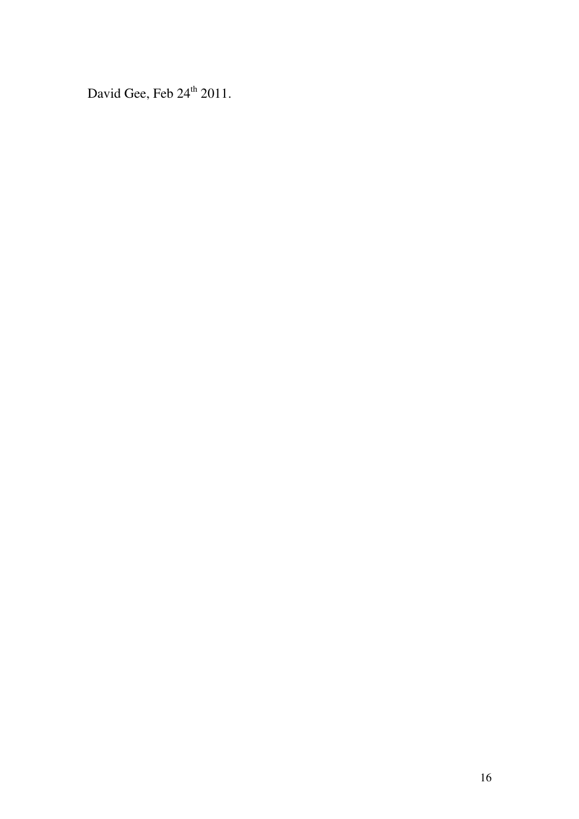David Gee, Feb 24<sup>th</sup> 2011.